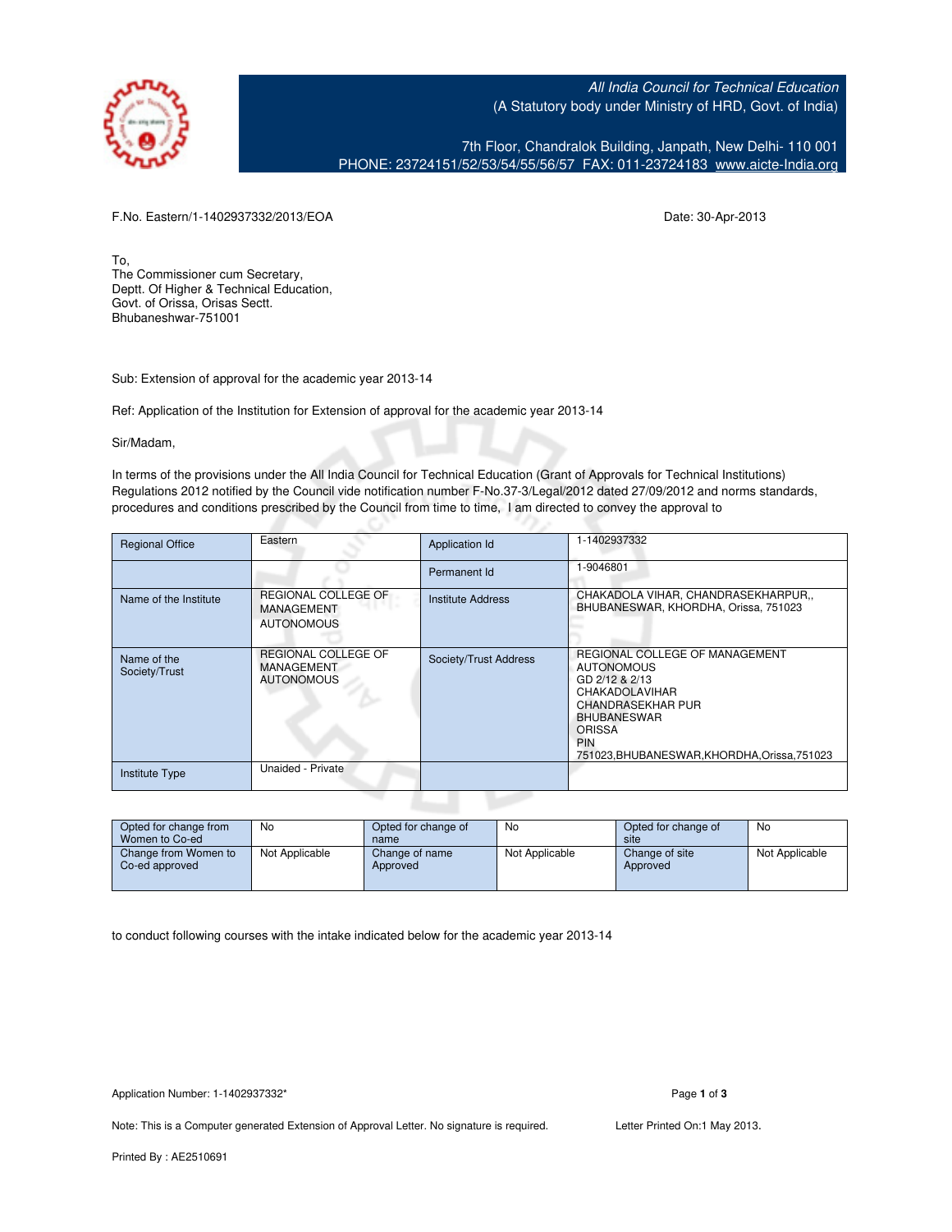All India Council for Technical Education (A Statutory body under Ministry of HRD, Govt. of India)

7th Floor, Chandralok Building, Janpath, New Delhi- 110 001 PHONE: 23724151/52/53/54/55/56/57 FAX: 011-23724183 [www.aicte-India.org](http://www.aicte-India.org)

F.No. Eastern/1-1402937332/2013/EOA Date: 30-Apr-2013

To, The Commissioner cum Secretary, Deptt. Of Higher & Technical Education, Govt. of Orissa, Orisas Sectt. Bhubaneshwar-751001

Sub: Extension of approval for the academic year 2013-14

Ref: Application of the Institution for Extension of approval for the academic year 2013-14

Sir/Madam,

In terms of the provisions under the All India Council for Technical Education (Grant of Approvals for Technical Institutions) Regulations 2012 notified by the Council vide notification number F-No.37-3/Legal/2012 dated 27/09/2012 and norms standards, procedures and conditions prescribed by the Council from time to time, I am directed to convey the approval to

| <b>Regional Office</b>       | Eastern                                                              | Application Id           | -1402937332                                                                                                                                                                                                          |
|------------------------------|----------------------------------------------------------------------|--------------------------|----------------------------------------------------------------------------------------------------------------------------------------------------------------------------------------------------------------------|
|                              |                                                                      | Permanent Id             | 1-9046801                                                                                                                                                                                                            |
| Name of the Institute        | <b>REGIONAL COLLEGE OF</b><br><b>MANAGEMENT</b><br><b>AUTONOMOUS</b> | <b>Institute Address</b> | CHAKADOLA VIHAR, CHANDRASEKHARPUR,,<br>BHUBANESWAR, KHORDHA, Orissa, 751023                                                                                                                                          |
| Name of the<br>Society/Trust | REGIONAL COLLEGE OF<br><b>MANAGEMENT</b><br><b>AUTONOMOUS</b>        | Society/Trust Address    | REGIONAL COLLEGE OF MANAGEMENT<br><b>AUTONOMOUS</b><br>GD 2/12 & 2/13<br><b>CHAKADOLAVIHAR</b><br><b>CHANDRASEKHAR PUR</b><br><b>BHUBANESWAR</b><br>ORISSA<br><b>PIN</b><br>751023.BHUBANESWAR.KHORDHA.Orissa.751023 |
| Institute Type               | Unaided - Private                                                    |                          |                                                                                                                                                                                                                      |

| Opted for change from                  | No             | Opted for change of        | No             | Opted for change of        | No             |
|----------------------------------------|----------------|----------------------------|----------------|----------------------------|----------------|
| Women to Co-ed                         |                | name                       |                | site                       |                |
| Change from Women to<br>Co-ed approved | Not Applicable | Change of name<br>Approved | Not Applicable | Change of site<br>Approved | Not Applicable |

to conduct following courses with the intake indicated below for the academic year 2013-14

Application Number: 1-1402937332\* Page **1** of **3**

Note: This is a Computer generated Extension of Approval Letter. No signature is required. Letter Printed On:1 May 2013.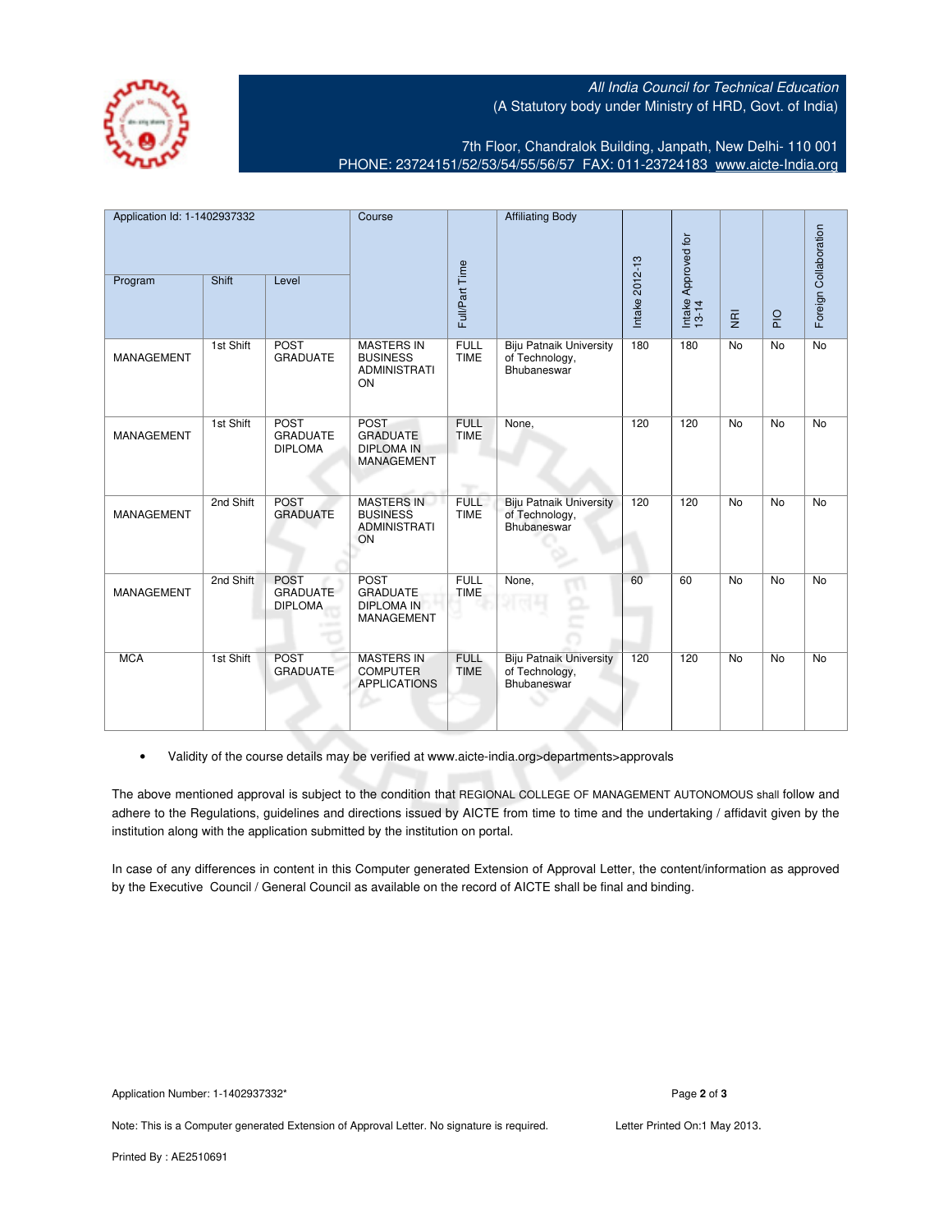All India Council for Technical Education (A Statutory body under Ministry of HRD, Govt. of India)



7th Floor, Chandralok Building, Janpath, New Delhi- 110 001 PHONE: 23724151/52/53/54/55/56/57 FAX: 011-23724183 [www.aicte-India.org](http://www.aicte-India.org)

| Application Id: 1-1402937332 |           | Course                                           | <b>Affiliating Body</b>                                                  |                            |                                                                 |                |                              |                           |             |                       |
|------------------------------|-----------|--------------------------------------------------|--------------------------------------------------------------------------|----------------------------|-----------------------------------------------------------------|----------------|------------------------------|---------------------------|-------------|-----------------------|
| Program                      | Shift     | Level                                            |                                                                          | Full/Part Time             |                                                                 | Intake 2012-13 | Intake Approved for<br>13-14 | $\overline{\mathfrak{s}}$ | $rac{Q}{4}$ | Foreign Collaboration |
| <b>MANAGEMENT</b>            | 1st Shift | <b>POST</b><br><b>GRADUATE</b>                   | <b>MASTERS IN</b><br><b>BUSINESS</b><br><b>ADMINISTRATI</b><br>ON        | <b>FULL</b><br><b>TIME</b> | <b>Biju Patnaik University</b><br>of Technology,<br>Bhubaneswar | 180            | 180                          | <b>No</b>                 | <b>No</b>   | <b>No</b>             |
| <b>MANAGEMENT</b>            | 1st Shift | <b>POST</b><br><b>GRADUATE</b><br><b>DIPLOMA</b> | <b>POST</b><br><b>GRADUATE</b><br><b>DIPLOMA IN</b><br><b>MANAGEMENT</b> | <b>FULL</b><br><b>TIME</b> | None,                                                           | 120            | 120                          | <b>No</b>                 | <b>No</b>   | <b>No</b>             |
| MANAGEMENT                   | 2nd Shift | <b>POST</b><br><b>GRADUATE</b>                   | <b>MASTERS IN</b><br><b>BUSINESS</b><br><b>ADMINISTRATI</b><br>ON        | <b>FULL</b><br><b>TIME</b> | <b>Biju Patnaik University</b><br>of Technology,<br>Bhubaneswar | 120            | 120                          | <b>No</b>                 | <b>No</b>   | <b>No</b>             |
| <b>MANAGEMENT</b>            | 2nd Shift | <b>POST</b><br><b>GRADUATE</b><br><b>DIPLOMA</b> | <b>POST</b><br><b>GRADUATE</b><br><b>DIPLOMA IN</b><br><b>MANAGEMENT</b> | <b>FULL</b><br><b>TIME</b> | None,                                                           | 60             | 60                           | <b>No</b>                 | <b>No</b>   | No                    |
| <b>MCA</b>                   | 1st Shift | <b>POST</b><br><b>GRADUATE</b>                   | <b>MASTERS IN</b><br><b>COMPUTER</b><br><b>APPLICATIONS</b>              | <b>FULL</b><br><b>TIME</b> | <b>Biju Patnaik University</b><br>of Technology,<br>Bhubaneswar | 120            | 120                          | <b>No</b>                 | <b>No</b>   | <b>No</b>             |

• Validity of the course details may be verified at www.aicte-india.org>departments>approvals

The above mentioned approval is subject to the condition that REGIONAL COLLEGE OF MANAGEMENT AUTONOMOUS shall follow and adhere to the Regulations, guidelines and directions issued by AICTE from time to time and the undertaking / affidavit given by the institution along with the application submitted by the institution on portal.

In case of any differences in content in this Computer generated Extension of Approval Letter, the content/information as approved by the Executive Council / General Council as available on the record of AICTE shall be final and binding.